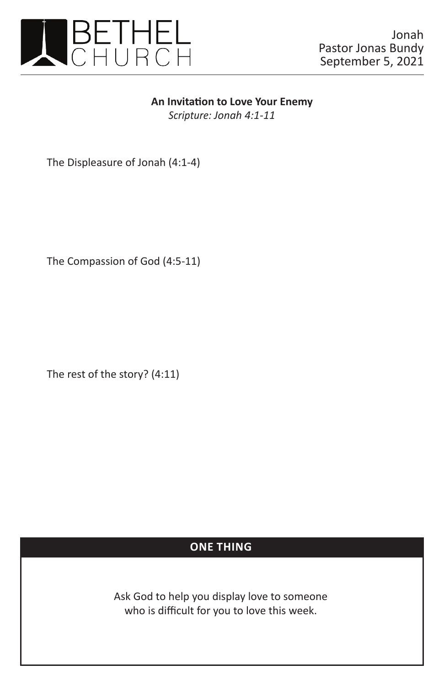

## **An Invitation to Love Your Enemy**

*Scripture: Jonah 4:1-11*

The Displeasure of Jonah (4:1-4)

The Compassion of God (4:5-11)

The rest of the story? (4:11)

## **ONE THING**

Ask God to help you display love to someone who is difficult for you to love this week.